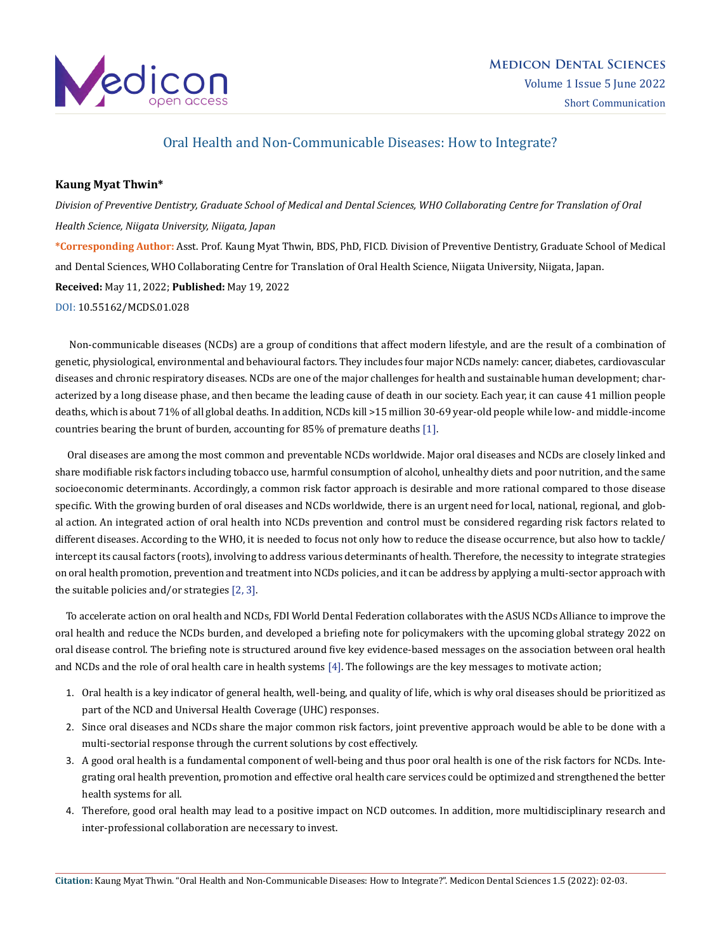

# Oral Health and Non-Communicable Diseases: How to Integrate?

### **Kaung Myat Thwin\***

*Division of Preventive Dentistry, Graduate School of Medical and Dental Sciences, WHO Collaborating Centre for Translation of Oral Health Science, Niigata University, Niigata, Japan* **\*Corresponding Author:** Asst. Prof. Kaung Myat Thwin, BDS, PhD, FICD. Division of Preventive Dentistry, Graduate School of Medical and Dental Sciences, WHO Collaborating Centre for Translation of Oral Health Science, Niigata University, Niigata, Japan. **Received:** May 11, 2022; **Published:** May 19, 2022

[DOI: 10.55162/MCDS.01.028](https://doi.org/10.55162/MCDS.01.028)

 Non-communicable diseases (NCDs) are a group of conditions that affect modern lifestyle, and are the result of a combination of genetic, physiological, environmental and behavioural factors. They includes four major NCDs namely: cancer, diabetes, cardiovascular diseases and chronic respiratory diseases. NCDs are one of the major challenges for health and sustainable human development; characterized by a long disease phase, and then became the leading cause of death in our society. Each year, it can cause 41 million people deaths, which is about 71% of all global deaths. In addition, NCDs kill >15 million 30-69 year-old people while low- and middle-income countries bearing the brunt of burden, accounting for 85% of premature deaths [1].

 Oral diseases are among the most common and preventable NCDs worldwide. Major oral diseases and NCDs are closely linked and share modifiable risk factors including tobacco use, harmful consumption of alcohol, unhealthy diets and poor nutrition, and the same socioeconomic determinants. Accordingly, a common risk factor approach is desirable and more rational compared to those disease specific. With the growing burden of oral diseases and NCDs worldwide, there is an urgent need for local, national, regional, and global action. An integrated action of oral health into NCDs prevention and control must be considered regarding risk factors related to different diseases. According to the WHO, it is needed to focus not only how to reduce the disease occurrence, but also how to tackle/ intercept its causal factors (roots), involving to address various determinants of health. Therefore, the necessity to integrate strategies on oral health promotion, prevention and treatment into NCDs policies, and it can be address by applying a multi-sector approach with the suitable policies and/or strategies [2, 3].

 To accelerate action on oral health and NCDs, FDI World Dental Federation collaborates with the ASUS NCDs Alliance to improve the oral health and reduce the NCDs burden, and developed a briefing note for policymakers with the upcoming global strategy 2022 on oral disease control. The briefing note is structured around five key evidence-based messages on the association between oral health and NCDs and the role of oral health care in health systems [4]. The followings are the key messages to motivate action;

- 1. Oral health is a key indicator of general health, well-being, and quality of life, which is why oral diseases should be prioritized as part of the NCD and Universal Health Coverage (UHC) responses.
- 2. Since oral diseases and NCDs share the major common risk factors, joint preventive approach would be able to be done with a multi-sectorial response through the current solutions by cost effectively.
- 3. A good oral health is a fundamental component of well-being and thus poor oral health is one of the risk factors for NCDs. Integrating oral health prevention, promotion and effective oral health care services could be optimized and strengthened the better health systems for all.
- 4. Therefore, good oral health may lead to a positive impact on NCD outcomes. In addition, more multidisciplinary research and inter-professional collaboration are necessary to invest.